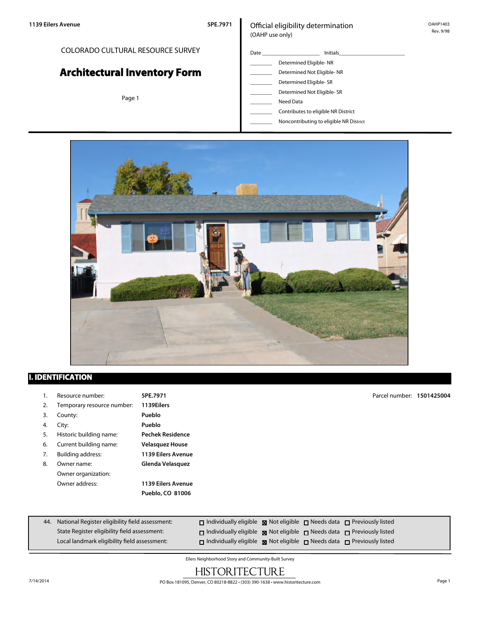#### COLORADO CULTURAL RESOURCE SURVEY

# **Architectural Inventory Form**

Page 1

#### Official eligibility determination (OAHP use only)

| Date | <b>Initials</b>            |
|------|----------------------------|
|      | Determined Eligible-NR     |
|      | Determined Not Eligible-NR |
|      | Determined Eligible-SR     |
|      | Determined Not Eligible-SR |

\_\_\_\_\_\_\_\_ Need Data

- \_\_\_\_\_\_\_\_ Contributes to eligible NR District
- \_\_\_\_\_\_\_\_ Noncontributing to eligible NR District



#### **I. IDENTIFICATION**

- 1. Resource number: **5PE.7971**
- 2. Temporary resource number: **1139Eilers**
- 3. County: **Pueblo**
- 
- 5. Historic building name: **Pechek Residence**
- 
- 
- Owner organization:
- 4. City: **Pueblo** 6. Current building name: **Velasquez House** 7. Building address: **1139 Eilers Avenue** 8. Owner name: **Glenda Velasquez** Owner address: **1139 Eilers Avenue Pueblo, CO 81006**

Parcel number: **1501425004**

| 44. National Register eligibility field assessment: | $\Box$ Individually eligible $\boxtimes$ Not eligible $\Box$ Needs data $\Box$ Previously listed |  |  |
|-----------------------------------------------------|--------------------------------------------------------------------------------------------------|--|--|
| State Register eligibility field assessment:        | $\Box$ Individually eligible $\boxtimes$ Not eligible $\Box$ Needs data $\Box$ Previously listed |  |  |
| Local landmark eligibility field assessment:        | $\Box$ Individually eligible $\Box$ Not eligible $\Box$ Needs data $\Box$ Previously listed      |  |  |

Eilers Neighborhood Story and Community-Built Survey

## **HISTORITECTURE**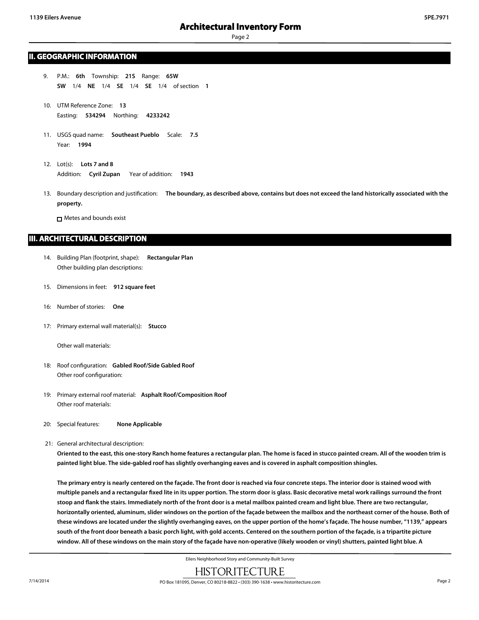Page 2

#### **II. GEOGRAPHIC INFORMATION**

- 9. P.M.: **6th** Township: **21S** Range: **65W SW** 1/4 **NE** 1/4 **SE** 1/4 **SE** 1/4 of section **1**
- 10. UTM Reference Zone: **13** Easting: **534294** Northing: **4233242**
- 11. USGS quad name: **Southeast Pueblo** Scale: **7.5** Year: **1994**
- 12. Lot(s): **Lots 7 and 8** Addition: **Cyril Zupan** Year of addition: **1943**
- 13. Boundary description and justification: **The boundary, as described above, contains but does not exceed the land historically associated with the property.**

Metes and bounds exist

#### **III. ARCHITECTURAL DESCRIPTION**

- 14. Building Plan (footprint, shape): **Rectangular Plan** Other building plan descriptions:
- 15. Dimensions in feet: **912 square feet**
- 16: Number of stories: **One**
- 17: Primary external wall material(s): **Stucco**

Other wall materials:

- 18: Roof configuration: **Gabled Roof/Side Gabled Roof** Other roof configuration:
- 19: Primary external roof material: **Asphalt Roof/Composition Roof** Other roof materials:
- 20: Special features: **None Applicable**
- 21: General architectural description:

**Oriented to the east, this one-story Ranch home features a rectangular plan. The home is faced in stucco painted cream. All of the wooden trim is painted light blue. The side-gabled roof has slightly overhanging eaves and is covered in asphalt composition shingles.**

**The primary entry is nearly centered on the façade. The front door is reached via four concrete steps. The interior door is stained wood with multiple panels and a rectangular fixed lite in its upper portion. The storm door is glass. Basic decorative metal work railings surround the front stoop and flank the stairs. Immediately north of the front door is a metal mailbox painted cream and light blue. There are two rectangular, horizontally oriented, aluminum, slider windows on the portion of the façade between the mailbox and the northeast corner of the house. Both of these windows are located under the slightly overhanging eaves, on the upper portion of the home's façade. The house number, "1139," appears south of the front door beneath a basic porch light, with gold accents. Centered on the southern portion of the façade, is a tripartite picture window. All of these windows on the main story of the façade have non-operative (likely wooden or vinyl) shutters, painted light blue. A**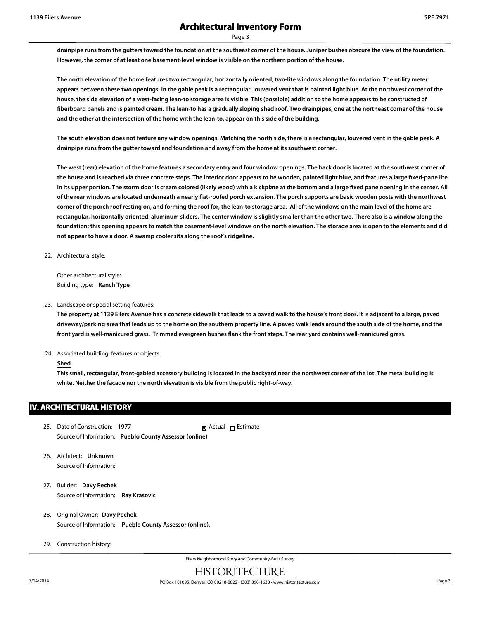Page 3

**drainpipe runs from the gutters toward the foundation at the southeast corner of the house. Juniper bushes obscure the view of the foundation. However, the corner of at least one basement-level window is visible on the northern portion of the house.**

**The north elevation of the home features two rectangular, horizontally oriented, two-lite windows along the foundation. The utility meter appears between these two openings. In the gable peak is a rectangular, louvered vent that is painted light blue. At the northwest corner of the house, the side elevation of a west-facing lean-to storage area is visible. This (possible) addition to the home appears to be constructed of fiberboard panels and is painted cream. The lean-to has a gradually sloping shed roof. Two drainpipes, one at the northeast corner of the house and the other at the intersection of the home with the lean-to, appear on this side of the building.**

**The south elevation does not feature any window openings. Matching the north side, there is a rectangular, louvered vent in the gable peak. A drainpipe runs from the gutter toward and foundation and away from the home at its southwest corner.**

**The west (rear) elevation of the home features a secondary entry and four window openings. The back door is located at the southwest corner of the house and is reached via three concrete steps. The interior door appears to be wooden, painted light blue, and features a large fixed-pane lite** in its upper portion. The storm door is cream colored (likely wood) with a kickplate at the bottom and a large fixed pane opening in the center. All **of the rear windows are located underneath a nearly flat-roofed porch extension. The porch supports are basic wooden posts with the northwest corner of the porch roof resting on, and forming the roof for, the lean-to storage area. All of the windows on the main level of the home are rectangular, horizontally oriented, aluminum sliders. The center window is slightly smaller than the other two. There also is a window along the foundation; this opening appears to match the basement-level windows on the north elevation. The storage area is open to the elements and did not appear to have a door. A swamp cooler sits along the roof's ridgeline.**

22. Architectural style:

Other architectural style: Building type: **Ranch Type**

23. Landscape or special setting features:

**The property at 1139 Eilers Avenue has a concrete sidewalk that leads to a paved walk to the house's front door. It is adjacent to a large, paved driveway/parking area that leads up to the home on the southern property line. A paved walk leads around the south side of the home, and the front yard is well-manicured grass. Trimmed evergreen bushes flank the front steps. The rear yard contains well-manicured grass.**

24. Associated building, features or objects:

#### **Shed**

**This small, rectangular, front-gabled accessory building is located in the backyard near the northwest corner of the lot. The metal building is white. Neither the façade nor the north elevation is visible from the public right-of-way.**

#### **IV. ARCHITECTURAL HISTORY**

- 25. Date of Construction: **1977** Source of Information: **Pueblo County Assessor (online) Ex** Actual □ Estimate
- 26. Architect: **Unknown** Source of Information:
- 27. Builder: **Davy Pechek** Source of Information: **Ray Krasovic**
- 28. Original Owner: **Davy Pechek** Source of Information: **Pueblo County Assessor (online).**
- 29. Construction history: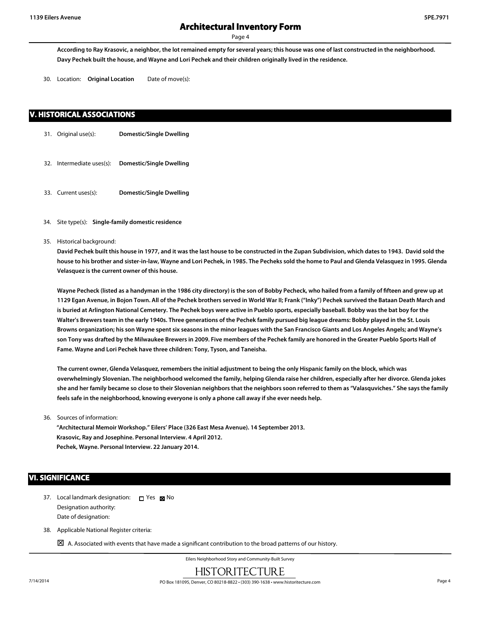Page 4

**According to Ray Krasovic, a neighbor, the lot remained empty for several years; this house was one of last constructed in the neighborhood. Davy Pechek built the house, and Wayne and Lori Pechek and their children originally lived in the residence.**

30. Location: **Original Location** Date of move(s):

#### **V. HISTORICAL ASSOCIATIONS**

- 31. Original use(s): **Domestic/Single Dwelling**
- 32. Intermediate uses(s): **Domestic/Single Dwelling**
- 33. Current uses(s): **Domestic/Single Dwelling**
- 34. Site type(s): **Single-family domestic residence**
- 35. Historical background:

**David Pechek built this house in 1977, and it was the last house to be constructed in the Zupan Subdivision, which dates to 1943. David sold the house to his brother and sister-in-law, Wayne and Lori Pechek, in 1985. The Pecheks sold the home to Paul and Glenda Velasquez in 1995. Glenda Velasquez is the current owner of this house.**

Wayne Pecheck (listed as a handyman in the 1986 city directory) is the son of Bobby Pecheck, who hailed from a family of fifteen and grew up at **1129 Egan Avenue, in Bojon Town. All of the Pechek brothers served in World War II; Frank ("Inky") Pechek survived the Bataan Death March and is buried at Arlington National Cemetery. The Pechek boys were active in Pueblo sports, especially baseball. Bobby was the bat boy for the Walter's Brewers team in the early 1940s. Three generations of the Pechek family pursued big league dreams: Bobby played in the St. Louis Browns organization; his son Wayne spent six seasons in the minor leagues with the San Francisco Giants and Los Angeles Angels; and Wayne's son Tony was drafted by the Milwaukee Brewers in 2009. Five members of the Pechek family are honored in the Greater Pueblo Sports Hall of Fame. Wayne and Lori Pechek have three children: Tony, Tyson, and Taneisha.**

**The current owner, Glenda Velasquez, remembers the initial adjustment to being the only Hispanic family on the block, which was overwhelmingly Slovenian. The neighborhood welcomed the family, helping Glenda raise her children, especially after her divorce. Glenda jokes she and her family became so close to their Slovenian neighbors that the neighbors soon referred to them as "Valasquviches." She says the family feels safe in the neighborhood, knowing everyone is only a phone call away if she ever needs help.**

36. Sources of information:

**"Architectural Memoir Workshop." Eilers' Place (326 East Mesa Avenue). 14 September 2013. Krasovic, Ray and Josephine. Personal Interview. 4 April 2012. Pechek, Wayne. Personal Interview. 22 January 2014.**

#### **VI. SIGNIFICANCE**

- 37. Local landmark designation:  $\Box$  Yes  $\boxtimes$  No Designation authority: Date of designation:
- 38. Applicable National Register criteria:
	- $\boxtimes$  A. Associated with events that have made a significant contribution to the broad patterns of our history.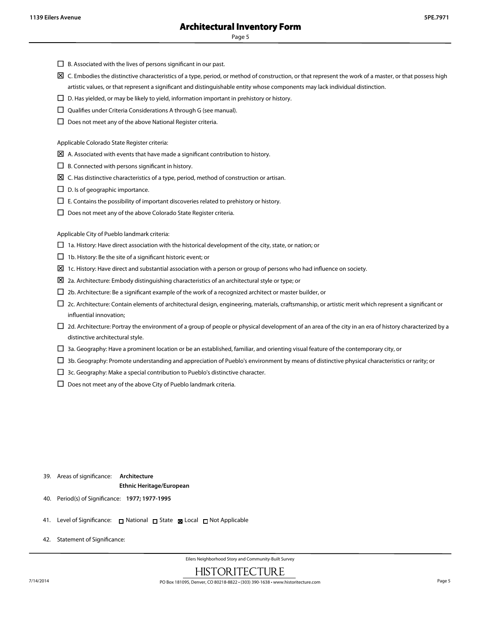Page 5

- $\square$  B. Associated with the lives of persons significant in our past.
- $\boxtimes$  C. Embodies the distinctive characteristics of a type, period, or method of construction, or that represent the work of a master, or that possess high artistic values, or that represent a significant and distinguishable entity whose components may lack individual distinction.
- $\square$  D. Has yielded, or may be likely to yield, information important in prehistory or history.
- $\square$  Qualifies under Criteria Considerations A through G (see manual).
- $\square$  Does not meet any of the above National Register criteria.

Applicable Colorado State Register criteria:

- $\boxtimes$  A. Associated with events that have made a significant contribution to history.
- $\Box$  B. Connected with persons significant in history.
- $\boxtimes\,$  C. Has distinctive characteristics of a type, period, method of construction or artisan.
- $\square$  D. Is of geographic importance.
- $\square$  E. Contains the possibility of important discoveries related to prehistory or history.
- $\square$  Does not meet any of the above Colorado State Register criteria.

Applicable City of Pueblo landmark criteria:

- $\Box$  1a. History: Have direct association with the historical development of the city, state, or nation; or
- $\Box$  1b. History: Be the site of a significant historic event; or
- $\Sigma$  1c. History: Have direct and substantial association with a person or group of persons who had influence on society.
- $\Sigma$  2a. Architecture: Embody distinguishing characteristics of an architectural style or type; or
- $\square$  2b. Architecture: Be a significant example of the work of a recognized architect or master builder, or
- $\Box$  2c. Architecture: Contain elements of architectural design, engineering, materials, craftsmanship, or artistic merit which represent a significant or influential innovation;
- $\Box$  2d. Architecture: Portray the environment of a group of people or physical development of an area of the city in an era of history characterized by a distinctive architectural style.
- $\Box$  3a. Geography: Have a prominent location or be an established, familiar, and orienting visual feature of the contemporary city, or
- $\Box$  3b. Geography: Promote understanding and appreciation of Pueblo's environment by means of distinctive physical characteristics or rarity; or
- $\square$  3c. Geography: Make a special contribution to Pueblo's distinctive character.
- $\square$  Does not meet any of the above City of Pueblo landmark criteria.

#### 39. Areas of significance: **Architecture Ethnic Heritage/European**

- 40. Period(s) of Significance: **1977; 1977-1995**
- 41. Level of Significance: □ National □ State 図 Local □ Not Applicable
- 42. Statement of Significance: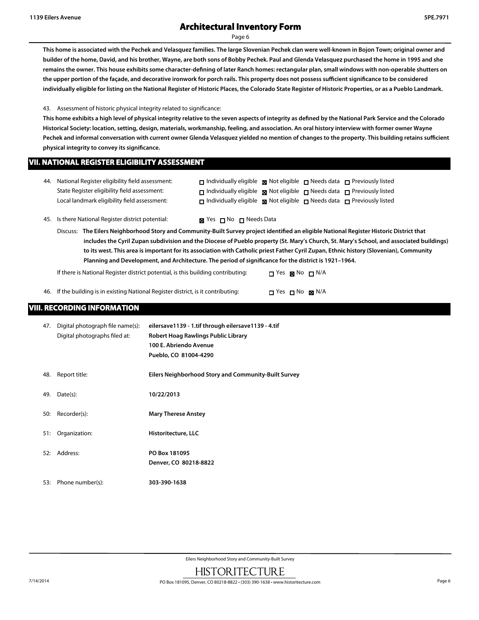Page 6

**This home is associated with the Pechek and Velasquez families. The large Slovenian Pechek clan were well-known in Bojon Town; original owner and builder of the home, David, and his brother, Wayne, are both sons of Bobby Pechek. Paul and Glenda Velasquez purchased the home in 1995 and she remains the owner. This house exhibits some character-defining of later Ranch homes: rectangular plan, small windows with non-operable shutters on the upper portion of the façade, and decorative ironwork for porch rails. This property does not possess sufficient significance to be considered individually eligible for listing on the National Register of Historic Places, the Colorado State Register of Historic Properties, or as a Pueblo Landmark.**

43. Assessment of historic physical integrity related to significance:

**This home exhibits a high level of physical integrity relative to the seven aspects of integrity as defined by the National Park Service and the Colorado Historical Society: location, setting, design, materials, workmanship, feeling, and association. An oral history interview with former owner Wayne Pechek and informal conversation with current owner Glenda Velasquez yielded no mention of changes to the property. This building retains sufficient physical integrity to convey its significance.**

#### **VII. NATIONAL REGISTER ELIGIBILITY ASSESSMENT**

| 44. National Register eligibility field assessment: | $\Box$ Individually eligible $\boxtimes$ Not eligible $\Box$ Needs data $\Box$ Previously listed |  |  |
|-----------------------------------------------------|--------------------------------------------------------------------------------------------------|--|--|
| State Register eligibility field assessment:        | $\Box$ Individually eligible $\boxtimes$ Not eligible $\Box$ Needs data $\Box$ Previously listed |  |  |
| Local landmark eligibility field assessment:        | $\Box$ Individually eligible $\boxtimes$ Not eligible $\Box$ Needs data $\Box$ Previously listed |  |  |

45. Is there National Register district potential:  $\blacksquare$  Yes  $\blacksquare$  No  $\blacksquare$  Needs Data

Discuss: **The Eilers Neighborhood Story and Community-Built Survey project identified an eligible National Register Historic District that includes the Cyril Zupan subdivision and the Diocese of Pueblo property (St. Mary's Church, St. Mary's School, and associated buildings) to its west. This area is important for its association with Catholic priest Father Cyril Zupan, Ethnic history (Slovenian), Community Planning and Development, and Architecture. The period of significance for the district is 1921–1964.**

If there is National Register district potential, is this building contributing:  $\Box$  Yes  $\Box$  No  $\Box$  N/A

46. If the building is in existing National Register district, is it contributing:  $\square$  Yes  $\square$  No  $\square$  N/A

#### **VIII. RECORDING INFORMATION**

| 47. | Digital photograph file name(s):<br>Digital photographs filed at: | eilersave1139 - 1.tif through eilersave1139 - 4.tif<br>Robert Hoag Rawlings Public Library |
|-----|-------------------------------------------------------------------|--------------------------------------------------------------------------------------------|
|     |                                                                   | 100 E. Abriendo Avenue                                                                     |
|     |                                                                   | Pueblo, CO 81004-4290                                                                      |
| 48. | Report title:                                                     | Eilers Neighborhood Story and Community-Built Survey                                       |
| 49. | Date(s):                                                          | 10/22/2013                                                                                 |
| 50: | Recorder(s):                                                      | <b>Mary Therese Anstey</b>                                                                 |
| 51: | Organization:                                                     | Historitecture, LLC                                                                        |
| 52: | Address:                                                          | PO Box 181095                                                                              |
|     |                                                                   | Denver, CO 80218-8822                                                                      |
| 53: | Phone number(s):                                                  | 303-390-1638                                                                               |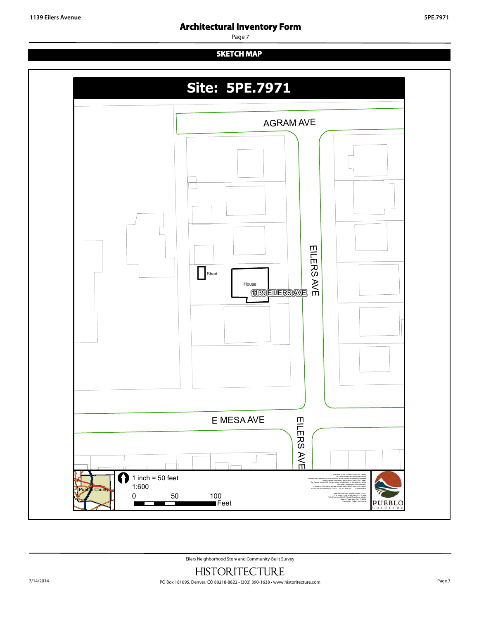Page 7

## **SKETCH MAP**